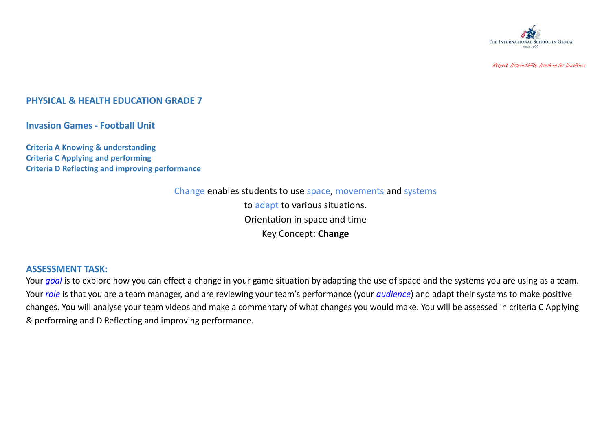

Respect, Responsibility, Reaching for Excellence

## **PHYSICAL & HEALTH EDUCATION GRADE 7**

**Invasion Games - Football Unit**

**Criteria A Knowing & understanding Criteria C Applying and performing Criteria D Reflecting and improving performance**

> Change enables students to use space, movements and systems to adapt to various situations. Orientation in space and time Key Concept: **Change**

## **ASSESSMENT TASK:**

Your *goal* is to explore how you can effect a change in your game situation by adapting the use of space and the systems you are using as a team. Your *role* is that you are a team manager, and are reviewing your team's performance (your *audience*) and adapt their systems to make positive changes. You will analyse your team videos and make a commentary of what changes you would make. You will be assessed in criteria C Applying & performing and D Reflecting and improving performance.